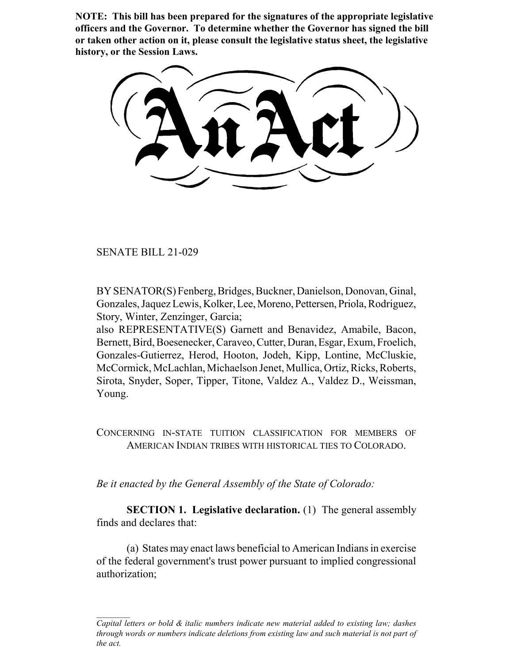**NOTE: This bill has been prepared for the signatures of the appropriate legislative officers and the Governor. To determine whether the Governor has signed the bill or taken other action on it, please consult the legislative status sheet, the legislative history, or the Session Laws.**

SENATE BILL 21-029

BY SENATOR(S) Fenberg, Bridges, Buckner, Danielson, Donovan, Ginal, Gonzales, Jaquez Lewis, Kolker, Lee, Moreno, Pettersen, Priola, Rodriguez, Story, Winter, Zenzinger, Garcia;

also REPRESENTATIVE(S) Garnett and Benavidez, Amabile, Bacon, Bernett, Bird, Boesenecker, Caraveo, Cutter, Duran, Esgar, Exum, Froelich, Gonzales-Gutierrez, Herod, Hooton, Jodeh, Kipp, Lontine, McCluskie, McCormick, McLachlan, Michaelson Jenet, Mullica, Ortiz, Ricks, Roberts, Sirota, Snyder, Soper, Tipper, Titone, Valdez A., Valdez D., Weissman, Young.

CONCERNING IN-STATE TUITION CLASSIFICATION FOR MEMBERS OF AMERICAN INDIAN TRIBES WITH HISTORICAL TIES TO COLORADO.

*Be it enacted by the General Assembly of the State of Colorado:*

**SECTION 1. Legislative declaration.** (1) The general assembly finds and declares that:

(a) States may enact laws beneficial to American Indians in exercise of the federal government's trust power pursuant to implied congressional authorization;

*Capital letters or bold & italic numbers indicate new material added to existing law; dashes through words or numbers indicate deletions from existing law and such material is not part of the act.*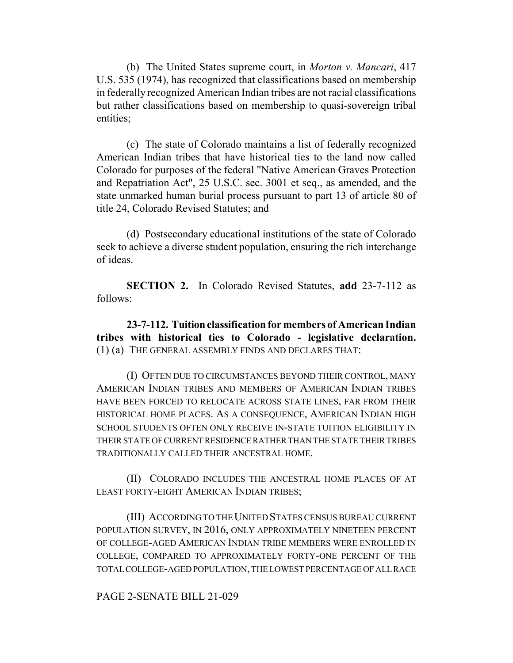(b) The United States supreme court, in *Morton v. Mancari*, 417 U.S. 535 (1974), has recognized that classifications based on membership in federally recognized American Indian tribes are not racial classifications but rather classifications based on membership to quasi-sovereign tribal entities;

(c) The state of Colorado maintains a list of federally recognized American Indian tribes that have historical ties to the land now called Colorado for purposes of the federal "Native American Graves Protection and Repatriation Act", 25 U.S.C. sec. 3001 et seq., as amended, and the state unmarked human burial process pursuant to part 13 of article 80 of title 24, Colorado Revised Statutes; and

(d) Postsecondary educational institutions of the state of Colorado seek to achieve a diverse student population, ensuring the rich interchange of ideas.

**SECTION 2.** In Colorado Revised Statutes, **add** 23-7-112 as follows:

**23-7-112. Tuition classification for members of American Indian tribes with historical ties to Colorado - legislative declaration.** (1) (a) THE GENERAL ASSEMBLY FINDS AND DECLARES THAT:

(I) OFTEN DUE TO CIRCUMSTANCES BEYOND THEIR CONTROL, MANY AMERICAN INDIAN TRIBES AND MEMBERS OF AMERICAN INDIAN TRIBES HAVE BEEN FORCED TO RELOCATE ACROSS STATE LINES, FAR FROM THEIR HISTORICAL HOME PLACES. AS A CONSEQUENCE, AMERICAN INDIAN HIGH SCHOOL STUDENTS OFTEN ONLY RECEIVE IN-STATE TUITION ELIGIBILITY IN THEIR STATE OF CURRENT RESIDENCE RATHER THAN THE STATE THEIR TRIBES TRADITIONALLY CALLED THEIR ANCESTRAL HOME.

(II) COLORADO INCLUDES THE ANCESTRAL HOME PLACES OF AT LEAST FORTY-EIGHT AMERICAN INDIAN TRIBES;

(III) ACCORDING TO THE UNITED STATES CENSUS BUREAU CURRENT POPULATION SURVEY, IN 2016, ONLY APPROXIMATELY NINETEEN PERCENT OF COLLEGE-AGED AMERICAN INDIAN TRIBE MEMBERS WERE ENROLLED IN COLLEGE, COMPARED TO APPROXIMATELY FORTY-ONE PERCENT OF THE TOTAL COLLEGE-AGED POPULATION, THE LOWEST PERCENTAGE OF ALL RACE

PAGE 2-SENATE BILL 21-029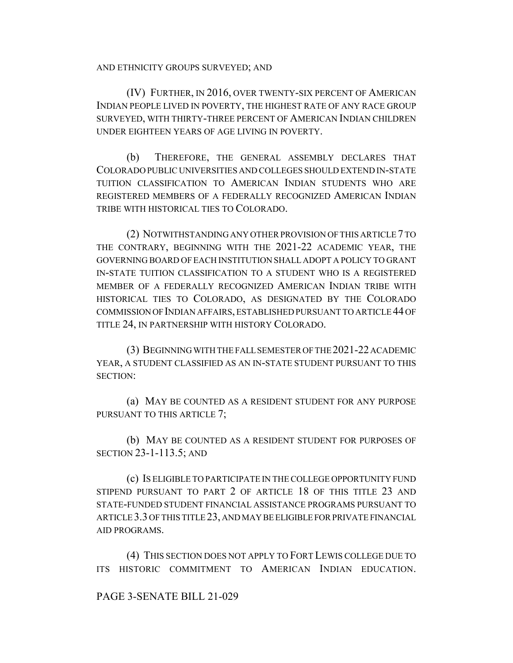AND ETHNICITY GROUPS SURVEYED; AND

(IV) FURTHER, IN 2016, OVER TWENTY-SIX PERCENT OF AMERICAN INDIAN PEOPLE LIVED IN POVERTY, THE HIGHEST RATE OF ANY RACE GROUP SURVEYED, WITH THIRTY-THREE PERCENT OF AMERICAN INDIAN CHILDREN UNDER EIGHTEEN YEARS OF AGE LIVING IN POVERTY.

(b) THEREFORE, THE GENERAL ASSEMBLY DECLARES THAT COLORADO PUBLIC UNIVERSITIES AND COLLEGES SHOULD EXTEND IN-STATE TUITION CLASSIFICATION TO AMERICAN INDIAN STUDENTS WHO ARE REGISTERED MEMBERS OF A FEDERALLY RECOGNIZED AMERICAN INDIAN TRIBE WITH HISTORICAL TIES TO COLORADO.

(2) NOTWITHSTANDING ANY OTHER PROVISION OF THIS ARTICLE 7 TO THE CONTRARY, BEGINNING WITH THE 2021-22 ACADEMIC YEAR, THE GOVERNING BOARD OF EACH INSTITUTION SHALL ADOPT A POLICY TO GRANT IN-STATE TUITION CLASSIFICATION TO A STUDENT WHO IS A REGISTERED MEMBER OF A FEDERALLY RECOGNIZED AMERICAN INDIAN TRIBE WITH HISTORICAL TIES TO COLORADO, AS DESIGNATED BY THE COLORADO COMMISSION OF INDIAN AFFAIRS, ESTABLISHED PURSUANT TO ARTICLE 44 OF TITLE 24, IN PARTNERSHIP WITH HISTORY COLORADO.

(3) BEGINNING WITH THE FALL SEMESTER OF THE 2021-22 ACADEMIC YEAR, A STUDENT CLASSIFIED AS AN IN-STATE STUDENT PURSUANT TO THIS SECTION:

(a) MAY BE COUNTED AS A RESIDENT STUDENT FOR ANY PURPOSE PURSUANT TO THIS ARTICLE 7;

(b) MAY BE COUNTED AS A RESIDENT STUDENT FOR PURPOSES OF SECTION 23-1-113.5; AND

(c) IS ELIGIBLE TO PARTICIPATE IN THE COLLEGE OPPORTUNITY FUND STIPEND PURSUANT TO PART 2 OF ARTICLE 18 OF THIS TITLE 23 AND STATE-FUNDED STUDENT FINANCIAL ASSISTANCE PROGRAMS PURSUANT TO ARTICLE 3.3 OF THIS TITLE 23, AND MAY BE ELIGIBLE FOR PRIVATE FINANCIAL AID PROGRAMS.

(4) THIS SECTION DOES NOT APPLY TO FORT LEWIS COLLEGE DUE TO ITS HISTORIC COMMITMENT TO AMERICAN INDIAN EDUCATION.

## PAGE 3-SENATE BILL 21-029